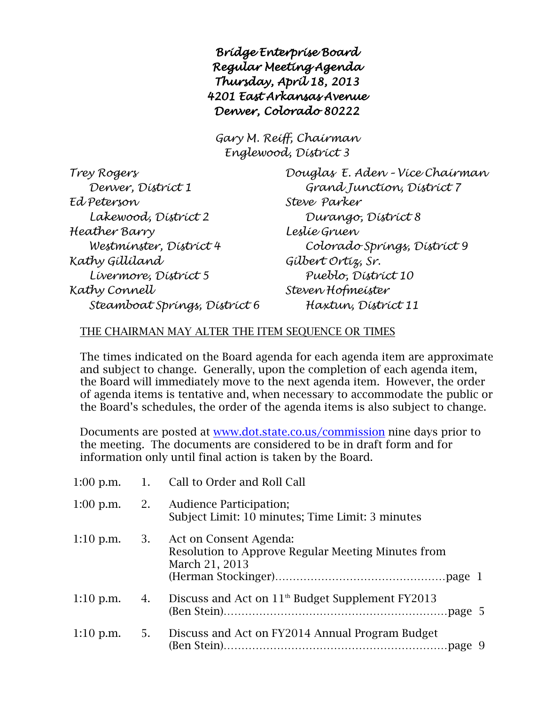*Bridge Enterprise Board Regular Meeting Agenda Thursday, April 18, 2013 4201 East Arkansas Avenue Denver, Colorado 80222* 

*Gary M. Reiff, Chairman Englewood, District 3*

| Trey Rogers                   |
|-------------------------------|
| Denver, Dístríct 1            |
| Ed Peterson                   |
| Lakewood, Dístríct 2          |
| Heather Barry                 |
| Westminster, District 4       |
| Kathy Gíllíland               |
| Lívermore, Dístríct 5         |
| Kathy Connell                 |
| Steamboat Springs, District 6 |

*Trey Rogers Douglas E. Aden – Vice Chairman Denver, District 1 Grand Junction, District 7 Ed Peterson Steve Parker Lakewood, District 2 Durango, District 8 Heather Barry Leslie Gruen Westminster, District 4 Colorado Springs, District 9 Kathy Gilliland Gilbert Ortiz, Sr. Livermore, District 5 Pueblo, District 10 Kathy Connell Steven Hofmeister Steamboat Springs, District 6 Haxtun, District 11*

## THE CHAIRMAN MAY ALTER THE ITEM SEQUENCE OR TIMES

The times indicated on the Board agenda for each agenda item are approximate and subject to change. Generally, upon the completion of each agenda item, the Board will immediately move to the next agenda item. However, the order of agenda items is tentative and, when necessary to accommodate the public or the Board's schedules, the order of the agenda items is also subject to change.

Documents are posted at [www.dot.state.co.us/commission](http://www.dot.state.co.us/commission) nine days prior to the meeting. The documents are considered to be in draft form and for information only until final action is taken by the Board.

|             |    | 1:00 p.m. 1. Call to Order and Roll Call                                                       |
|-------------|----|------------------------------------------------------------------------------------------------|
| $1:00$ p.m. |    | 2. Audience Participation;<br>Subject Limit: 10 minutes; Time Limit: 3 minutes                 |
| $1:10$ p.m. | 3. | Act on Consent Agenda:<br>Resolution to Approve Regular Meeting Minutes from<br>March 21, 2013 |
| $1:10$ p.m. | 4. | Discuss and Act on $11th$ Budget Supplement FY2013                                             |
| $1:10$ p.m. | 5. | Discuss and Act on FY2014 Annual Program Budget                                                |